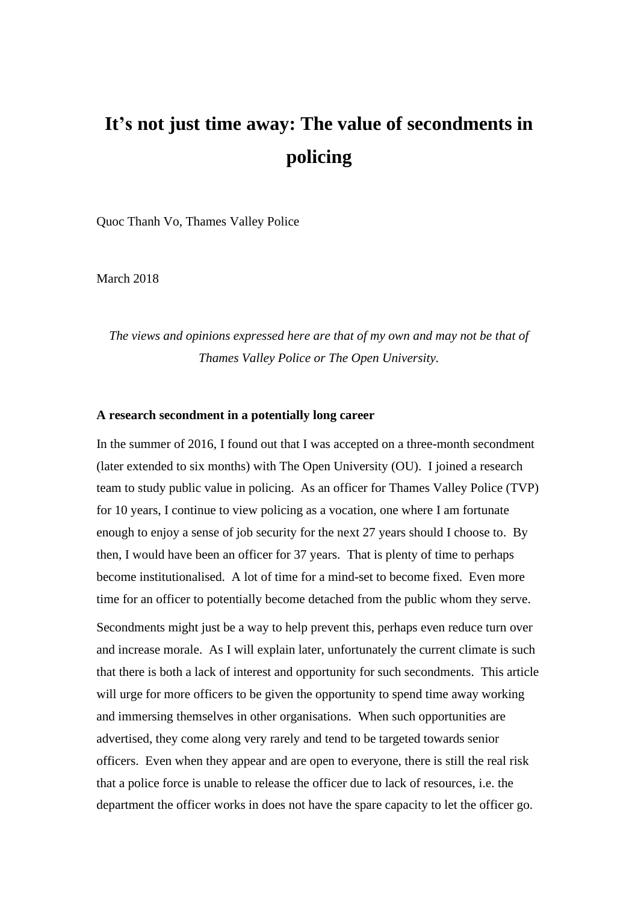# **It's not just time away: The value of secondments in policing**

Quoc Thanh Vo, Thames Valley Police

March 2018

*The views and opinions expressed here are that of my own and may not be that of Thames Valley Police or The Open University.*

#### **A research secondment in a potentially long career**

In the summer of 2016, I found out that I was accepted on a three-month secondment (later extended to six months) with The Open University (OU). I joined a research team to study public value in policing. As an officer for Thames Valley Police (TVP) for 10 years, I continue to view policing as a vocation, one where I am fortunate enough to enjoy a sense of job security for the next 27 years should I choose to. By then, I would have been an officer for 37 years. That is plenty of time to perhaps become institutionalised. A lot of time for a mind-set to become fixed. Even more time for an officer to potentially become detached from the public whom they serve.

Secondments might just be a way to help prevent this, perhaps even reduce turn over and increase morale. As I will explain later, unfortunately the current climate is such that there is both a lack of interest and opportunity for such secondments. This article will urge for more officers to be given the opportunity to spend time away working and immersing themselves in other organisations. When such opportunities are advertised, they come along very rarely and tend to be targeted towards senior officers. Even when they appear and are open to everyone, there is still the real risk that a police force is unable to release the officer due to lack of resources, i.e. the department the officer works in does not have the spare capacity to let the officer go.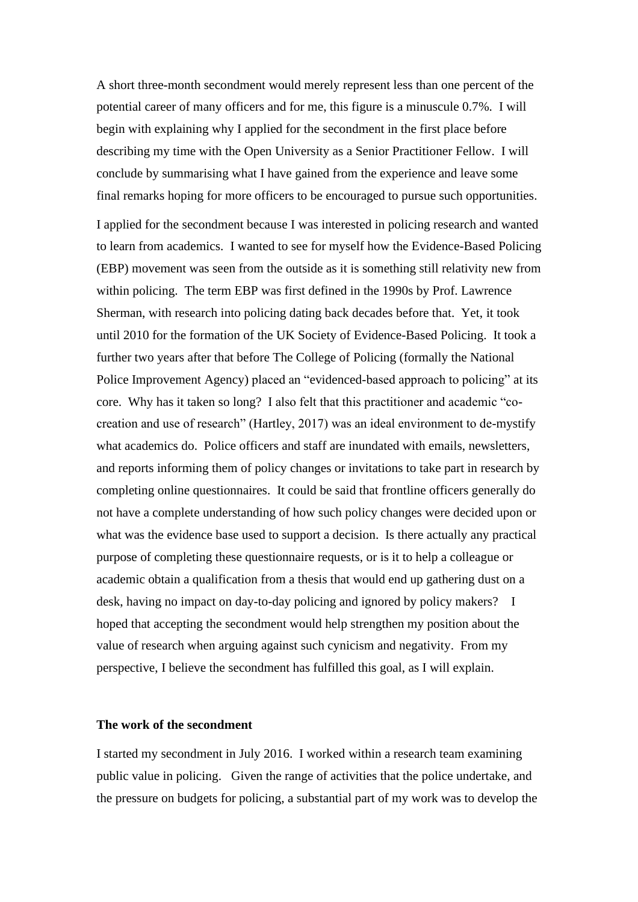A short three-month secondment would merely represent less than one percent of the potential career of many officers and for me, this figure is a minuscule 0.7%. I will begin with explaining why I applied for the secondment in the first place before describing my time with the Open University as a Senior Practitioner Fellow. I will conclude by summarising what I have gained from the experience and leave some final remarks hoping for more officers to be encouraged to pursue such opportunities.

I applied for the secondment because I was interested in policing research and wanted to learn from academics. I wanted to see for myself how the Evidence-Based Policing (EBP) movement was seen from the outside as it is something still relativity new from within policing. The term EBP was first defined in the 1990s by Prof. Lawrence Sherman, with research into policing dating back decades before that. Yet, it took until 2010 for the formation of the UK Society of Evidence-Based Policing. It took a further two years after that before The College of Policing (formally the National Police Improvement Agency) placed an "evidenced-based approach to policing" at its core. Why has it taken so long? I also felt that this practitioner and academic "cocreation and use of research" (Hartley, 2017) was an ideal environment to de-mystify what academics do. Police officers and staff are inundated with emails, newsletters, and reports informing them of policy changes or invitations to take part in research by completing online questionnaires. It could be said that frontline officers generally do not have a complete understanding of how such policy changes were decided upon or what was the evidence base used to support a decision. Is there actually any practical purpose of completing these questionnaire requests, or is it to help a colleague or academic obtain a qualification from a thesis that would end up gathering dust on a desk, having no impact on day-to-day policing and ignored by policy makers? I hoped that accepting the secondment would help strengthen my position about the value of research when arguing against such cynicism and negativity. From my perspective, I believe the secondment has fulfilled this goal, as I will explain.

# **The work of the secondment**

I started my secondment in July 2016. I worked within a research team examining public value in policing. Given the range of activities that the police undertake, and the pressure on budgets for policing, a substantial part of my work was to develop the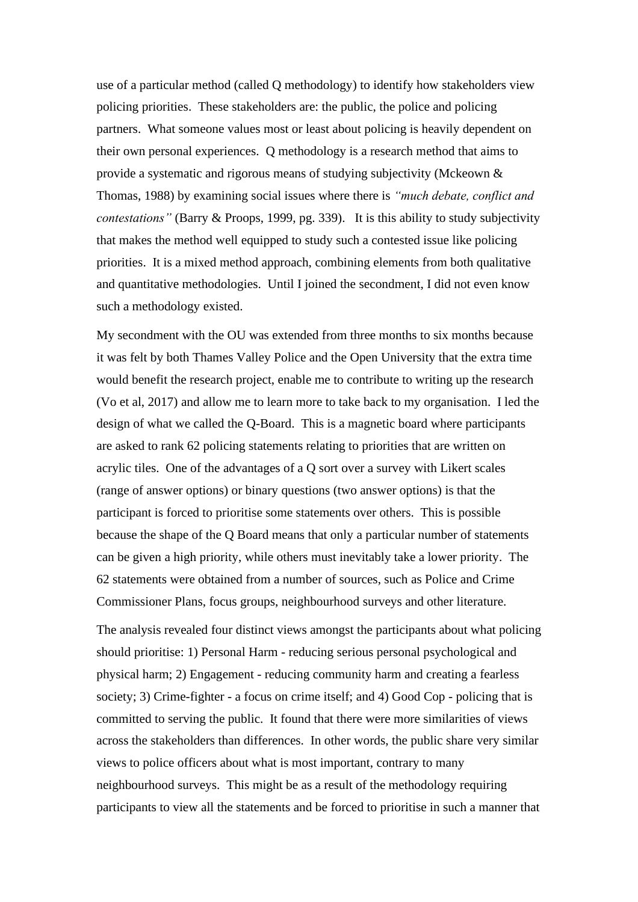use of a particular method (called Q methodology) to identify how stakeholders view policing priorities. These stakeholders are: the public, the police and policing partners. What someone values most or least about policing is heavily dependent on their own personal experiences. Q methodology is a research method that aims to provide a systematic and rigorous means of studying subjectivity (Mckeown & Thomas, 1988) by examining social issues where there is *"much debate, conflict and contestations"* (Barry & Proops, 1999, pg. 339). It is this ability to study subjectivity that makes the method well equipped to study such a contested issue like policing priorities. It is a mixed method approach, combining elements from both qualitative and quantitative methodologies. Until I joined the secondment, I did not even know such a methodology existed.

My secondment with the OU was extended from three months to six months because it was felt by both Thames Valley Police and the Open University that the extra time would benefit the research project, enable me to contribute to writing up the research (Vo et al, 2017) and allow me to learn more to take back to my organisation. I led the design of what we called the Q-Board. This is a magnetic board where participants are asked to rank 62 policing statements relating to priorities that are written on acrylic tiles. One of the advantages of a Q sort over a survey with Likert scales (range of answer options) or binary questions (two answer options) is that the participant is forced to prioritise some statements over others. This is possible because the shape of the Q Board means that only a particular number of statements can be given a high priority, while others must inevitably take a lower priority. The 62 statements were obtained from a number of sources, such as Police and Crime Commissioner Plans, focus groups, neighbourhood surveys and other literature.

The analysis revealed four distinct views amongst the participants about what policing should prioritise: 1) Personal Harm - reducing serious personal psychological and physical harm; 2) Engagement - reducing community harm and creating a fearless society; 3) Crime-fighter - a focus on crime itself; and 4) Good Cop - policing that is committed to serving the public. It found that there were more similarities of views across the stakeholders than differences. In other words, the public share very similar views to police officers about what is most important, contrary to many neighbourhood surveys. This might be as a result of the methodology requiring participants to view all the statements and be forced to prioritise in such a manner that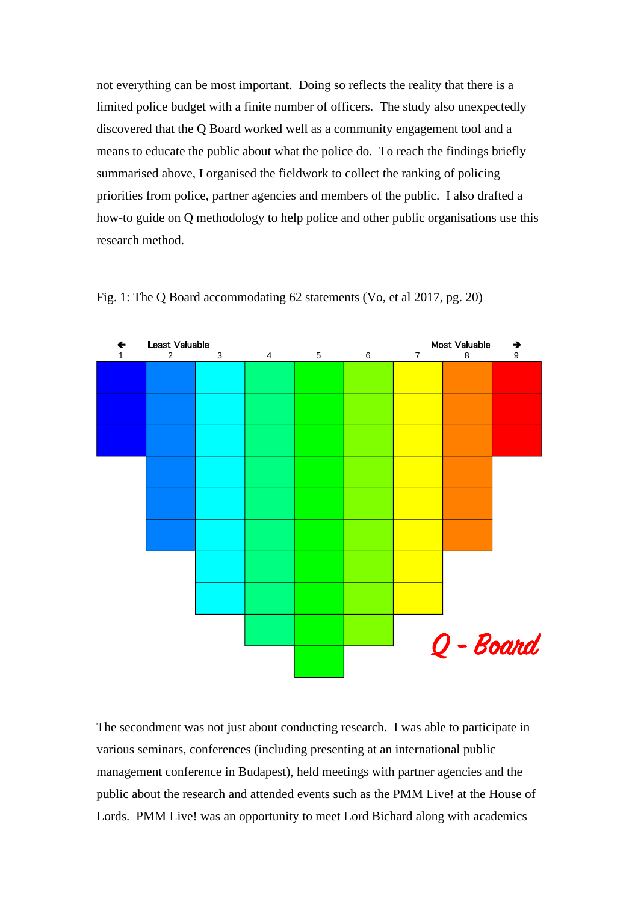not everything can be most important. Doing so reflects the reality that there is a limited police budget with a finite number of officers. The study also unexpectedly discovered that the Q Board worked well as a community engagement tool and a means to educate the public about what the police do. To reach the findings briefly summarised above, I organised the fieldwork to collect the ranking of policing priorities from police, partner agencies and members of the public. I also drafted a how-to guide on Q methodology to help police and other public organisations use this research method.



Fig. 1: The Q Board accommodating 62 statements (Vo, et al 2017, pg. 20)

The secondment was not just about conducting research. I was able to participate in various seminars, conferences (including presenting at an international public management conference in Budapest), held meetings with partner agencies and the public about the research and attended events such as the PMM Live! at the House of Lords. PMM Live! was an opportunity to meet Lord Bichard along with academics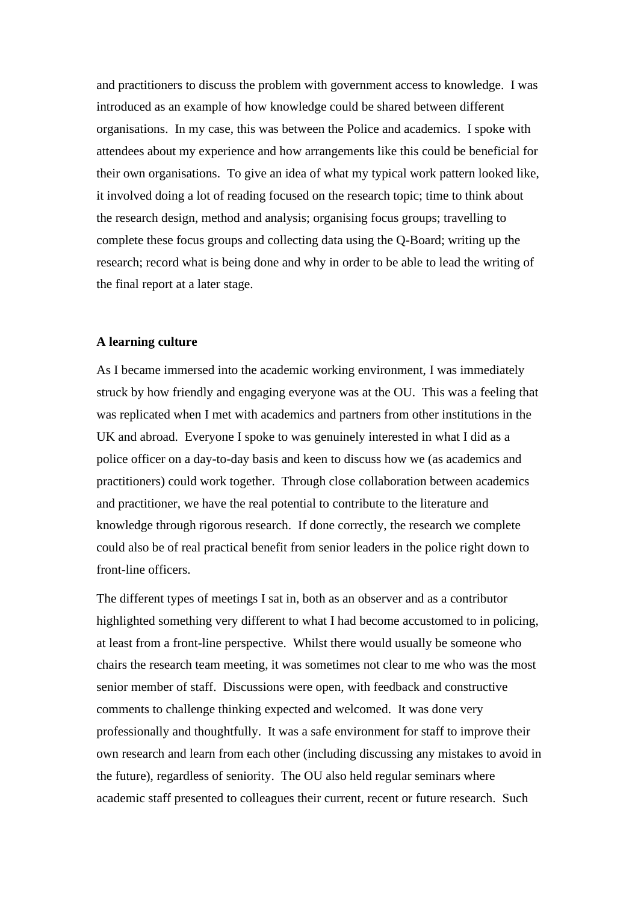and practitioners to discuss the problem with government access to knowledge. I was introduced as an example of how knowledge could be shared between different organisations. In my case, this was between the Police and academics. I spoke with attendees about my experience and how arrangements like this could be beneficial for their own organisations. To give an idea of what my typical work pattern looked like, it involved doing a lot of reading focused on the research topic; time to think about the research design, method and analysis; organising focus groups; travelling to complete these focus groups and collecting data using the Q-Board; writing up the research; record what is being done and why in order to be able to lead the writing of the final report at a later stage.

# **A learning culture**

As I became immersed into the academic working environment, I was immediately struck by how friendly and engaging everyone was at the OU. This was a feeling that was replicated when I met with academics and partners from other institutions in the UK and abroad. Everyone I spoke to was genuinely interested in what I did as a police officer on a day-to-day basis and keen to discuss how we (as academics and practitioners) could work together. Through close collaboration between academics and practitioner, we have the real potential to contribute to the literature and knowledge through rigorous research. If done correctly, the research we complete could also be of real practical benefit from senior leaders in the police right down to front-line officers.

The different types of meetings I sat in, both as an observer and as a contributor highlighted something very different to what I had become accustomed to in policing, at least from a front-line perspective. Whilst there would usually be someone who chairs the research team meeting, it was sometimes not clear to me who was the most senior member of staff. Discussions were open, with feedback and constructive comments to challenge thinking expected and welcomed. It was done very professionally and thoughtfully. It was a safe environment for staff to improve their own research and learn from each other (including discussing any mistakes to avoid in the future), regardless of seniority. The OU also held regular seminars where academic staff presented to colleagues their current, recent or future research. Such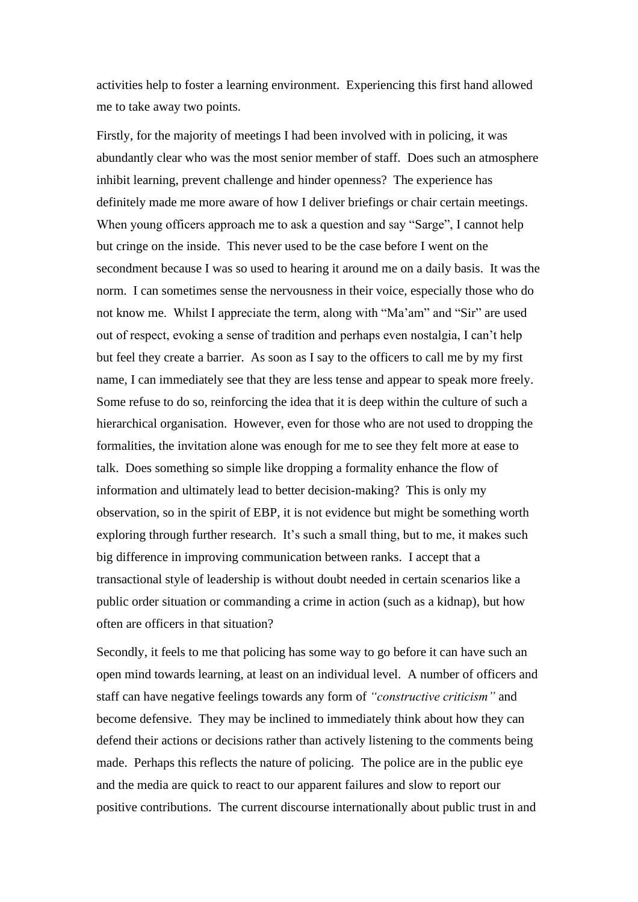activities help to foster a learning environment. Experiencing this first hand allowed me to take away two points.

Firstly, for the majority of meetings I had been involved with in policing, it was abundantly clear who was the most senior member of staff. Does such an atmosphere inhibit learning, prevent challenge and hinder openness? The experience has definitely made me more aware of how I deliver briefings or chair certain meetings. When young officers approach me to ask a question and say "Sarge", I cannot help but cringe on the inside. This never used to be the case before I went on the secondment because I was so used to hearing it around me on a daily basis. It was the norm. I can sometimes sense the nervousness in their voice, especially those who do not know me. Whilst I appreciate the term, along with "Ma'am" and "Sir" are used out of respect, evoking a sense of tradition and perhaps even nostalgia, I can't help but feel they create a barrier. As soon as I say to the officers to call me by my first name, I can immediately see that they are less tense and appear to speak more freely. Some refuse to do so, reinforcing the idea that it is deep within the culture of such a hierarchical organisation. However, even for those who are not used to dropping the formalities, the invitation alone was enough for me to see they felt more at ease to talk. Does something so simple like dropping a formality enhance the flow of information and ultimately lead to better decision-making? This is only my observation, so in the spirit of EBP, it is not evidence but might be something worth exploring through further research. It's such a small thing, but to me, it makes such big difference in improving communication between ranks. I accept that a transactional style of leadership is without doubt needed in certain scenarios like a public order situation or commanding a crime in action (such as a kidnap), but how often are officers in that situation?

Secondly, it feels to me that policing has some way to go before it can have such an open mind towards learning, at least on an individual level. A number of officers and staff can have negative feelings towards any form of *"constructive criticism"* and become defensive. They may be inclined to immediately think about how they can defend their actions or decisions rather than actively listening to the comments being made. Perhaps this reflects the nature of policing. The police are in the public eye and the media are quick to react to our apparent failures and slow to report our positive contributions. The current discourse internationally about public trust in and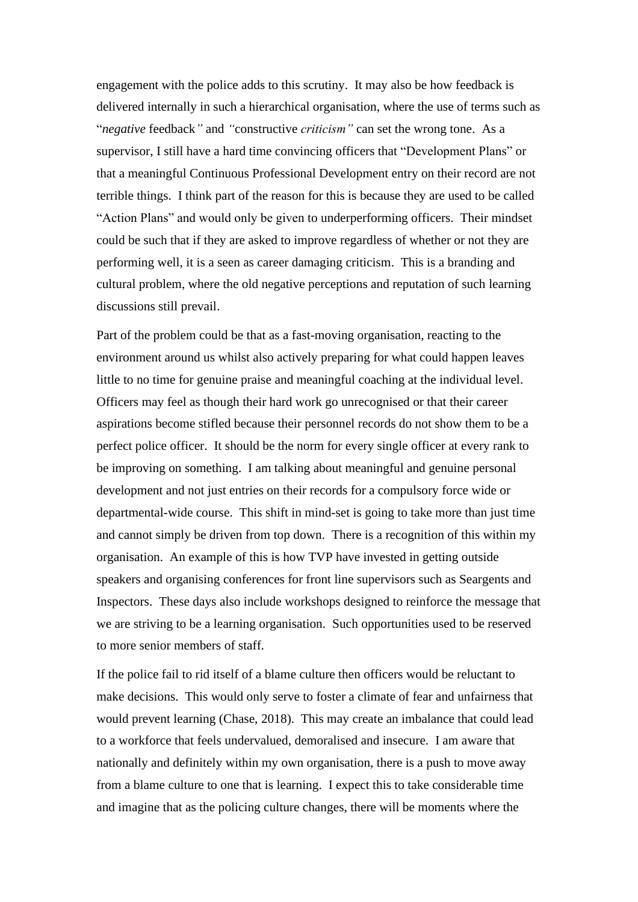engagement with the police adds to this scrutiny. It may also be how feedback is delivered internally in such a hierarchical organisation, where the use of terms such as "*negative* feedback*"* and *"*constructive *criticism"* can set the wrong tone. As a supervisor, I still have a hard time convincing officers that "Development Plans" or that a meaningful Continuous Professional Development entry on their record are not terrible things. I think part of the reason for this is because they are used to be called "Action Plans" and would only be given to underperforming officers. Their mindset could be such that if they are asked to improve regardless of whether or not they are performing well, it is a seen as career damaging criticism. This is a branding and cultural problem, where the old negative perceptions and reputation of such learning discussions still prevail.

Part of the problem could be that as a fast-moving organisation, reacting to the environment around us whilst also actively preparing for what could happen leaves little to no time for genuine praise and meaningful coaching at the individual level. Officers may feel as though their hard work go unrecognised or that their career aspirations become stifled because their personnel records do not show them to be a perfect police officer. It should be the norm for every single officer at every rank to be improving on something. I am talking about meaningful and genuine personal development and not just entries on their records for a compulsory force wide or departmental-wide course. This shift in mind-set is going to take more than just time and cannot simply be driven from top down. There is a recognition of this within my organisation. An example of this is how TVP have invested in getting outside speakers and organising conferences for front line supervisors such as Seargents and Inspectors. These days also include workshops designed to reinforce the message that we are striving to be a learning organisation. Such opportunities used to be reserved to more senior members of staff.

If the police fail to rid itself of a blame culture then officers would be reluctant to make decisions. This would only serve to foster a climate of fear and unfairness that would prevent learning (Chase, 2018). This may create an imbalance that could lead to a workforce that feels undervalued, demoralised and insecure. I am aware that nationally and definitely within my own organisation, there is a push to move away from a blame culture to one that is learning. I expect this to take considerable time and imagine that as the policing culture changes, there will be moments where the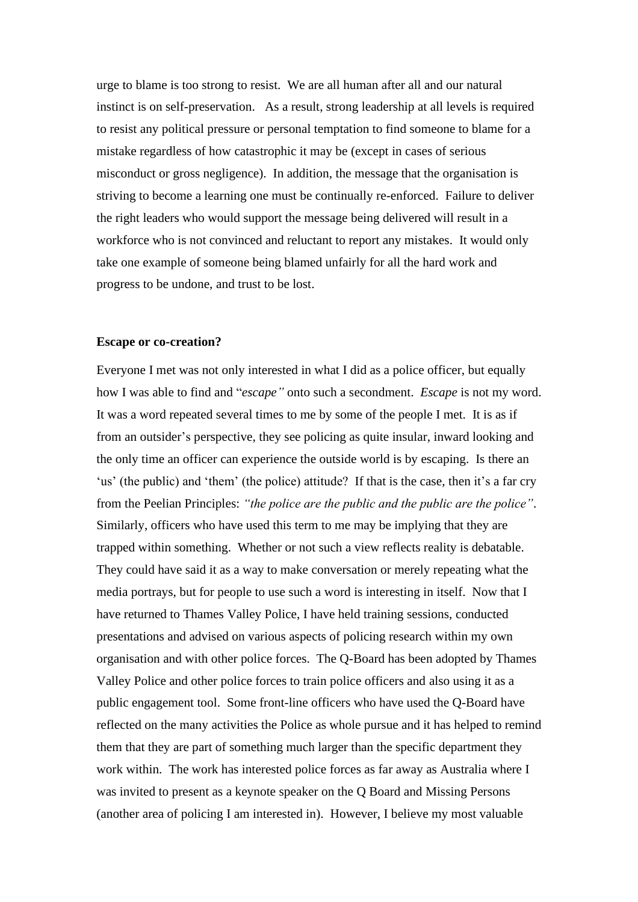urge to blame is too strong to resist. We are all human after all and our natural instinct is on self-preservation. As a result, strong leadership at all levels is required to resist any political pressure or personal temptation to find someone to blame for a mistake regardless of how catastrophic it may be (except in cases of serious misconduct or gross negligence). In addition, the message that the organisation is striving to become a learning one must be continually re-enforced. Failure to deliver the right leaders who would support the message being delivered will result in a workforce who is not convinced and reluctant to report any mistakes. It would only take one example of someone being blamed unfairly for all the hard work and progress to be undone, and trust to be lost.

#### **Escape or co-creation?**

Everyone I met was not only interested in what I did as a police officer, but equally how I was able to find and "*escape"* onto such a secondment. *Escape* is not my word. It was a word repeated several times to me by some of the people I met. It is as if from an outsider's perspective, they see policing as quite insular, inward looking and the only time an officer can experience the outside world is by escaping. Is there an 'us' (the public) and 'them' (the police) attitude? If that is the case, then it's a far cry from the Peelian Principles: *"the police are the public and the public are the police"*. Similarly, officers who have used this term to me may be implying that they are trapped within something. Whether or not such a view reflects reality is debatable. They could have said it as a way to make conversation or merely repeating what the media portrays, but for people to use such a word is interesting in itself. Now that I have returned to Thames Valley Police, I have held training sessions, conducted presentations and advised on various aspects of policing research within my own organisation and with other police forces. The Q-Board has been adopted by Thames Valley Police and other police forces to train police officers and also using it as a public engagement tool. Some front-line officers who have used the Q-Board have reflected on the many activities the Police as whole pursue and it has helped to remind them that they are part of something much larger than the specific department they work within. The work has interested police forces as far away as Australia where I was invited to present as a keynote speaker on the Q Board and Missing Persons (another area of policing I am interested in). However, I believe my most valuable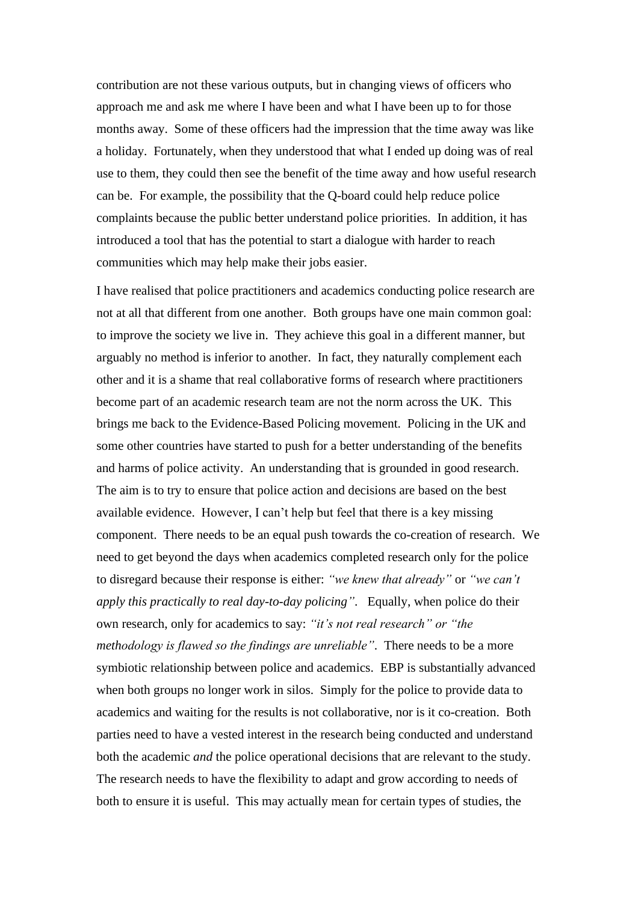contribution are not these various outputs, but in changing views of officers who approach me and ask me where I have been and what I have been up to for those months away. Some of these officers had the impression that the time away was like a holiday. Fortunately, when they understood that what I ended up doing was of real use to them, they could then see the benefit of the time away and how useful research can be. For example, the possibility that the Q-board could help reduce police complaints because the public better understand police priorities. In addition, it has introduced a tool that has the potential to start a dialogue with harder to reach communities which may help make their jobs easier.

I have realised that police practitioners and academics conducting police research are not at all that different from one another. Both groups have one main common goal: to improve the society we live in. They achieve this goal in a different manner, but arguably no method is inferior to another. In fact, they naturally complement each other and it is a shame that real collaborative forms of research where practitioners become part of an academic research team are not the norm across the UK. This brings me back to the Evidence-Based Policing movement. Policing in the UK and some other countries have started to push for a better understanding of the benefits and harms of police activity. An understanding that is grounded in good research. The aim is to try to ensure that police action and decisions are based on the best available evidence. However, I can't help but feel that there is a key missing component. There needs to be an equal push towards the co-creation of research. We need to get beyond the days when academics completed research only for the police to disregard because their response is either: *"we knew that already"* or *"we can't apply this practically to real day-to-day policing"*. Equally, when police do their own research, only for academics to say: *"it's not real research" or "the methodology is flawed so the findings are unreliable"*. There needs to be a more symbiotic relationship between police and academics. EBP is substantially advanced when both groups no longer work in silos. Simply for the police to provide data to academics and waiting for the results is not collaborative, nor is it co-creation. Both parties need to have a vested interest in the research being conducted and understand both the academic *and* the police operational decisions that are relevant to the study. The research needs to have the flexibility to adapt and grow according to needs of both to ensure it is useful. This may actually mean for certain types of studies, the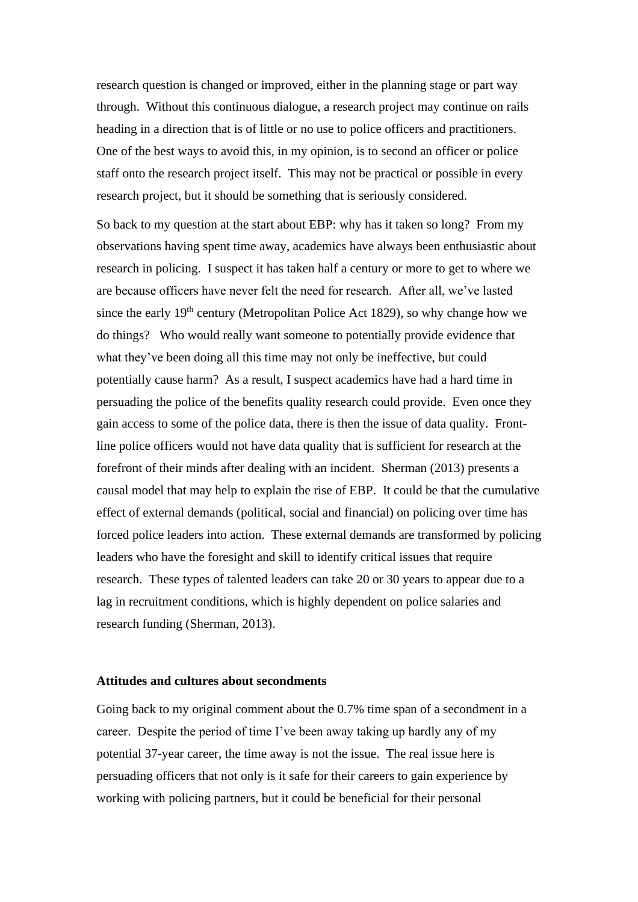research question is changed or improved, either in the planning stage or part way through. Without this continuous dialogue, a research project may continue on rails heading in a direction that is of little or no use to police officers and practitioners. One of the best ways to avoid this, in my opinion, is to second an officer or police staff onto the research project itself. This may not be practical or possible in every research project, but it should be something that is seriously considered.

So back to my question at the start about EBP: why has it taken so long? From my observations having spent time away, academics have always been enthusiastic about research in policing. I suspect it has taken half a century or more to get to where we are because officers have never felt the need for research. After all, we've lasted since the early  $19<sup>th</sup>$  century (Metropolitan Police Act 1829), so why change how we do things? Who would really want someone to potentially provide evidence that what they've been doing all this time may not only be ineffective, but could potentially cause harm? As a result, I suspect academics have had a hard time in persuading the police of the benefits quality research could provide. Even once they gain access to some of the police data, there is then the issue of data quality. Frontline police officers would not have data quality that is sufficient for research at the forefront of their minds after dealing with an incident. Sherman (2013) presents a causal model that may help to explain the rise of EBP. It could be that the cumulative effect of external demands (political, social and financial) on policing over time has forced police leaders into action. These external demands are transformed by policing leaders who have the foresight and skill to identify critical issues that require research. These types of talented leaders can take 20 or 30 years to appear due to a lag in recruitment conditions, which is highly dependent on police salaries and research funding (Sherman, 2013).

# **Attitudes and cultures about secondments**

Going back to my original comment about the 0.7% time span of a secondment in a career. Despite the period of time I've been away taking up hardly any of my potential 37-year career, the time away is not the issue. The real issue here is persuading officers that not only is it safe for their careers to gain experience by working with policing partners, but it could be beneficial for their personal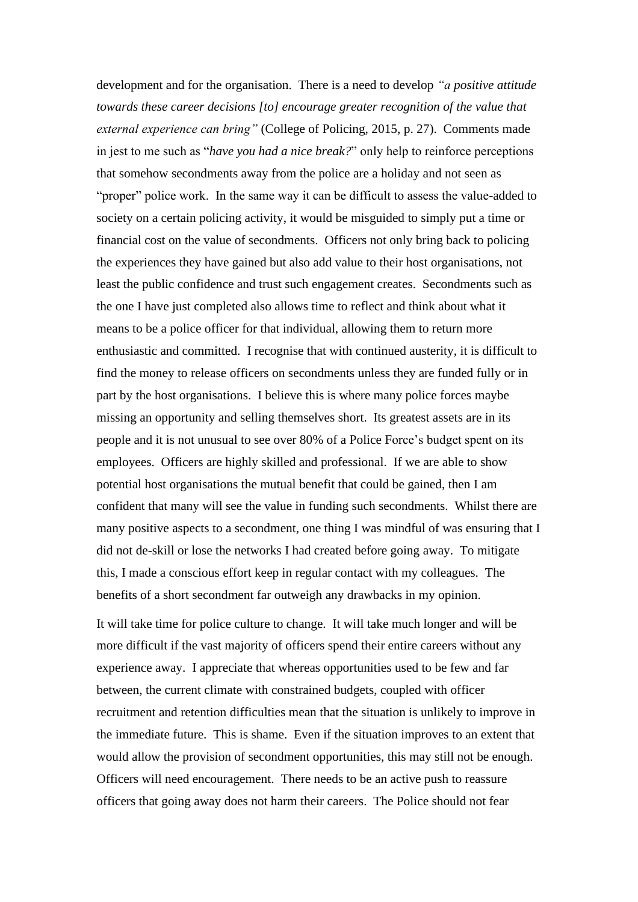development and for the organisation. There is a need to develop *"a positive attitude towards these career decisions [to] encourage greater recognition of the value that external experience can bring"* (College of Policing, 2015, p. 27). Comments made in jest to me such as "*have you had a nice break?*" only help to reinforce perceptions that somehow secondments away from the police are a holiday and not seen as "proper" police work. In the same way it can be difficult to assess the value-added to society on a certain policing activity, it would be misguided to simply put a time or financial cost on the value of secondments. Officers not only bring back to policing the experiences they have gained but also add value to their host organisations, not least the public confidence and trust such engagement creates. Secondments such as the one I have just completed also allows time to reflect and think about what it means to be a police officer for that individual, allowing them to return more enthusiastic and committed. I recognise that with continued austerity, it is difficult to find the money to release officers on secondments unless they are funded fully or in part by the host organisations. I believe this is where many police forces maybe missing an opportunity and selling themselves short. Its greatest assets are in its people and it is not unusual to see over 80% of a Police Force's budget spent on its employees. Officers are highly skilled and professional. If we are able to show potential host organisations the mutual benefit that could be gained, then I am confident that many will see the value in funding such secondments. Whilst there are many positive aspects to a secondment, one thing I was mindful of was ensuring that I did not de-skill or lose the networks I had created before going away. To mitigate this, I made a conscious effort keep in regular contact with my colleagues. The benefits of a short secondment far outweigh any drawbacks in my opinion.

It will take time for police culture to change. It will take much longer and will be more difficult if the vast majority of officers spend their entire careers without any experience away. I appreciate that whereas opportunities used to be few and far between, the current climate with constrained budgets, coupled with officer recruitment and retention difficulties mean that the situation is unlikely to improve in the immediate future. This is shame. Even if the situation improves to an extent that would allow the provision of secondment opportunities, this may still not be enough. Officers will need encouragement. There needs to be an active push to reassure officers that going away does not harm their careers. The Police should not fear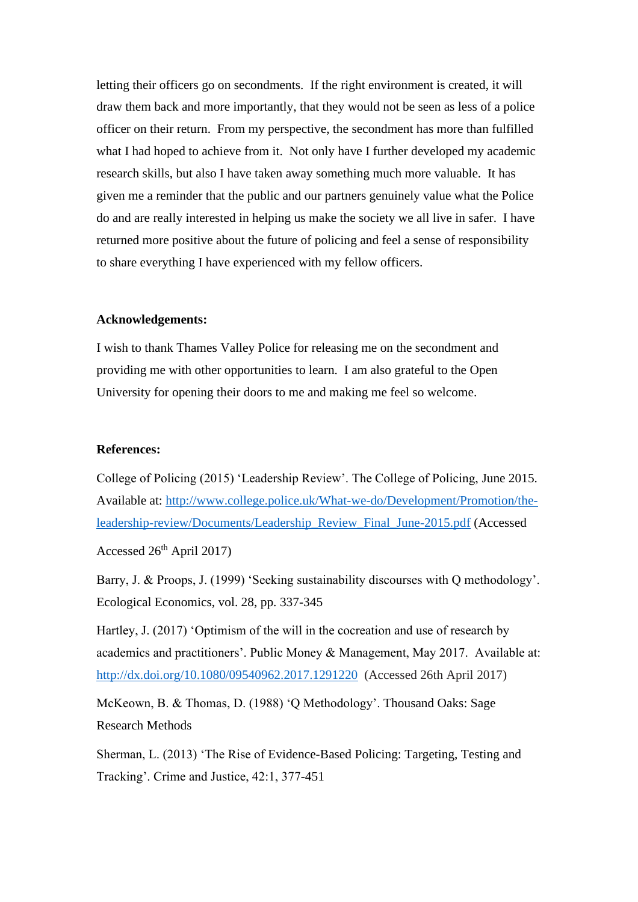letting their officers go on secondments. If the right environment is created, it will draw them back and more importantly, that they would not be seen as less of a police officer on their return. From my perspective, the secondment has more than fulfilled what I had hoped to achieve from it. Not only have I further developed my academic research skills, but also I have taken away something much more valuable. It has given me a reminder that the public and our partners genuinely value what the Police do and are really interested in helping us make the society we all live in safer. I have returned more positive about the future of policing and feel a sense of responsibility to share everything I have experienced with my fellow officers.

# **Acknowledgements:**

I wish to thank Thames Valley Police for releasing me on the secondment and providing me with other opportunities to learn. I am also grateful to the Open University for opening their doors to me and making me feel so welcome.

#### **References:**

College of Policing (2015) 'Leadership Review'. The College of Policing, June 2015. Available at: [http://www.college.police.uk/What-we-do/Development/Promotion/the](http://www.college.police.uk/What-we-do/Development/Promotion/the-leadership-review/Documents/Leadership_Review_Final_June-2015.pdf)[leadership-review/Documents/Leadership\\_Review\\_Final\\_June-2015.pdf](http://www.college.police.uk/What-we-do/Development/Promotion/the-leadership-review/Documents/Leadership_Review_Final_June-2015.pdf) (Accessed

Accessed  $26<sup>th</sup>$  April 2017)

Barry, J. & Proops, J. (1999) 'Seeking sustainability discourses with Q methodology'. Ecological Economics, vol. 28, pp. 337-345

Hartley, J. (2017) 'Optimism of the will in the cocreation and use of research by academics and practitioners'. Public Money & Management, May 2017. Available at: [http://dx.doi.org/10.1080/09540962.2017.1291220](http://dx.doi.org/10.1080/09540962.2017.1291214) (Accessed 26th April 2017)

McKeown, B. & Thomas, D. (1988) 'Q Methodology'. Thousand Oaks: Sage Research Methods

Sherman, L. (2013) 'The Rise of Evidence-Based Policing: Targeting, Testing and Tracking'. Crime and Justice, 42:1, 377-451